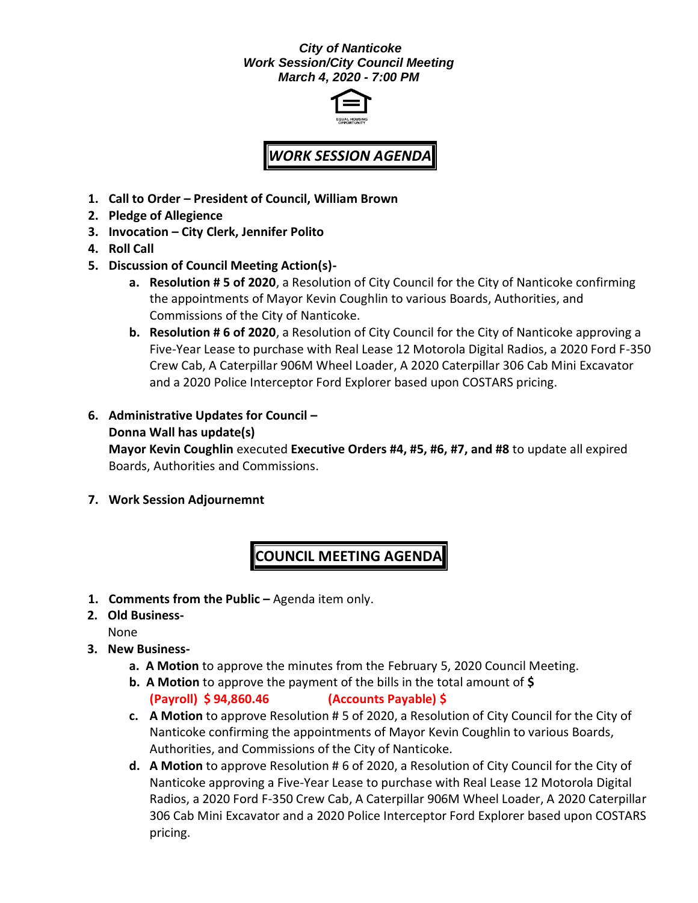## *City of Nanticoke Work Session/City Council Meeting March 4, 2020 - 7:00 PM*



# *WORK SESSION AGENDA*

- **1. Call to Order – President of Council, William Brown**
- **2. Pledge of Allegience**
- **3. Invocation – City Clerk, Jennifer Polito**
- **4. Roll Call**
- **5. Discussion of Council Meeting Action(s)**
	- **a. Resolution # 5 of 2020**, a Resolution of City Council for the City of Nanticoke confirming the appointments of Mayor Kevin Coughlin to various Boards, Authorities, and Commissions of the City of Nanticoke.
	- **b. Resolution # 6 of 2020**, a Resolution of City Council for the City of Nanticoke approving a Five-Year Lease to purchase with Real Lease 12 Motorola Digital Radios, a 2020 Ford F-350 Crew Cab, A Caterpillar 906M Wheel Loader, A 2020 Caterpillar 306 Cab Mini Excavator and a 2020 Police Interceptor Ford Explorer based upon COSTARS pricing.
- **6. Administrative Updates for Council – Donna Wall has update(s) Mayor Kevin Coughlin** executed **Executive Orders #4, #5, #6, #7, and #8** to update all expired Boards, Authorities and Commissions.
- **7. Work Session Adjournemnt**

# **COUNCIL MEETING AGENDA**

**1. Comments from the Public –** Agenda item only.

**2. Old Business-**

None

- **3. New Business**
	- **a. A Motion** to approve the minutes from the February 5, 2020 Council Meeting.
	- **b. A Motion** to approve the payment of the bills in the total amount of **\$ (Payroll) \$ 94,860.46 (Accounts Payable) \$**
	- **c. A Motion** to approve Resolution # 5 of 2020, a Resolution of City Council for the City of Nanticoke confirming the appointments of Mayor Kevin Coughlin to various Boards, Authorities, and Commissions of the City of Nanticoke.
	- **d. A Motion** to approve Resolution # 6 of 2020, a Resolution of City Council for the City of Nanticoke approving a Five-Year Lease to purchase with Real Lease 12 Motorola Digital Radios, a 2020 Ford F-350 Crew Cab, A Caterpillar 906M Wheel Loader, A 2020 Caterpillar 306 Cab Mini Excavator and a 2020 Police Interceptor Ford Explorer based upon COSTARS pricing.